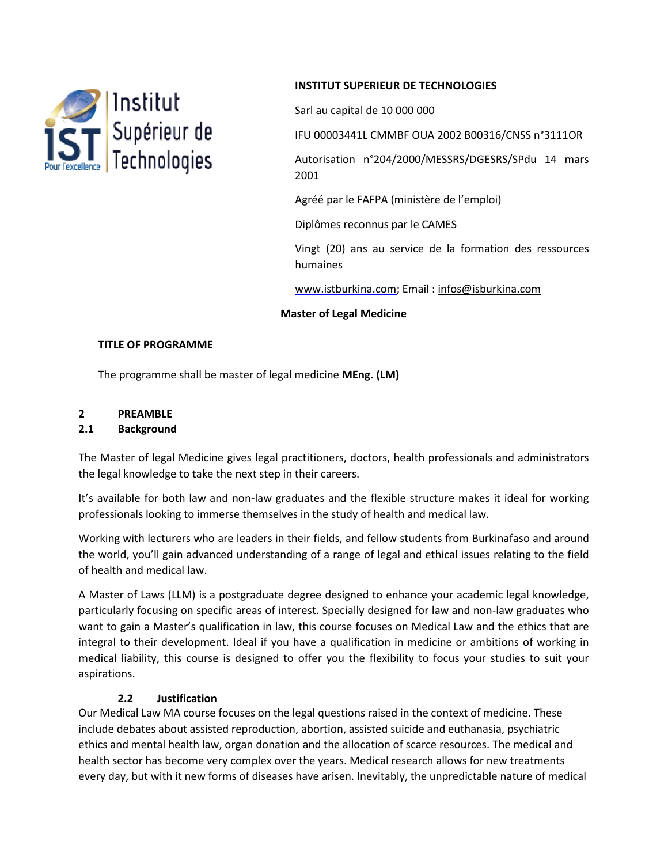

### **INSTITUT SUPERIEUR DE TECHNOLOGIES**

Sarl au capital de 10 000 000

IFU 00003441L CMMBF OUA 2002 B00316/CNSS n°3111OR

Autorisation n°204/2000/MESSRS/DGESRS/SPdu 14 mars 2001

Agréé par le FAFPA (ministère de l'emploi)

Diplômes reconnus par le CAMES

Vingt (20) ans au service de la formation des ressources humaines

www.istburkina.com; Email : [infos@isburkina.com](mailto:infos@isburkina.com)

#### **Master of Legal Medicine**

#### **TITLE OF PROGRAMME**

The programme shall be master of legal medicine **MEng. (LM)**

# **2 PREAMBLE**

#### **2.1 Background**

The Master of legal Medicine gives legal practitioners, doctors, health professionals and administrators the legal knowledge to take the next step in their careers.

It's available for both law and non-law graduates and the flexible structure makes it ideal for working professionals looking to immerse themselves in the study of health and medical law.

Working with lecturers who are leaders in their fields, and fellow students from Burkinafaso and around the world, you'll gain advanced understanding of a range of legal and ethical issues relating to the field of health and medical law.

A Master of Laws (LLM) is a postgraduate degree designed to enhance your academic legal knowledge, particularly focusing on specific areas of interest. Specially designed for law and non-law graduates who want to gain a Master's qualification in law, this course focuses on Medical Law and the ethics that are integral to their development. Ideal if you have a qualification in medicine or ambitions of working in medical liability, this course is designed to offer you the flexibility to focus your studies to suit your aspirations.

#### **2.2 Justification**

Our Medical Law MA course focuses on the legal questions raised in the context of medicine. These include debates about assisted reproduction, abortion, assisted suicide and euthanasia, psychiatric ethics and mental health law, organ donation and the allocation of scarce resources. The medical and health sector has become very complex over the years. Medical research allows for new treatments every day, but with it new forms of diseases have arisen. Inevitably, the unpredictable nature of medical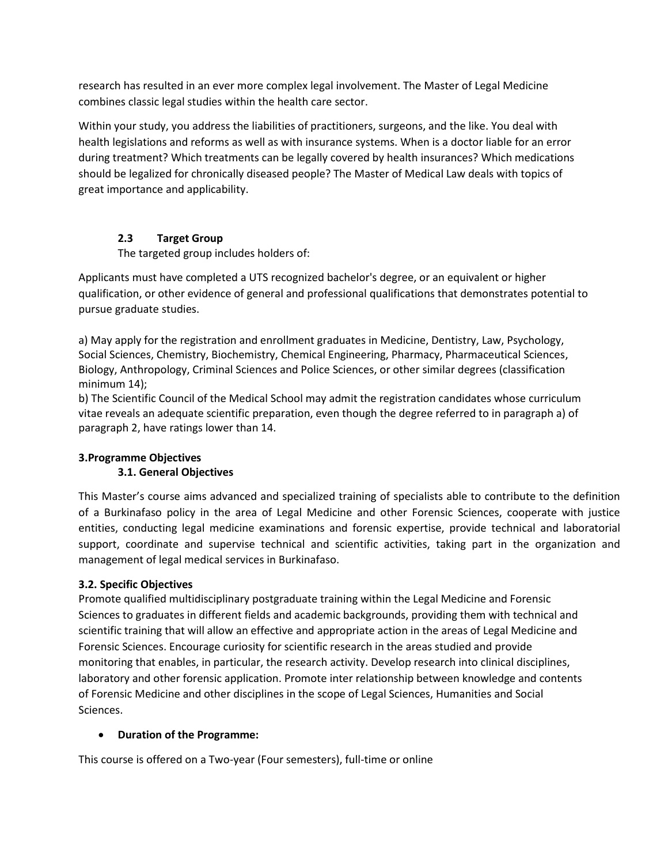research has resulted in an ever more complex legal involvement. The Master of Legal Medicine combines classic legal studies within the health care sector.

Within your study, you address the liabilities of practitioners, surgeons, and the like. You deal with health legislations and reforms as well as with insurance systems. When is a doctor liable for an error during treatment? Which treatments can be legally covered by health insurances? Which medications should be legalized for chronically diseased people? The Master of Medical Law deals with topics of great importance and applicability.

#### **2.3 Target Group**

The targeted group includes holders of:

Applicants must have completed a UTS recognized bachelor's degree, or an equivalent or higher qualification, or other evidence of general and professional qualifications that demonstrates potential to pursue graduate studies.

a) May apply for the registration and enrollment graduates in Medicine, Dentistry, Law, Psychology, Social Sciences, Chemistry, Biochemistry, Chemical Engineering, Pharmacy, Pharmaceutical Sciences, Biology, Anthropology, Criminal Sciences and Police Sciences, or other similar degrees (classification minimum 14);

b) The Scientific Council of the Medical School may admit the registration candidates whose curriculum vitae reveals an adequate scientific preparation, even though the degree referred to in paragraph a) of paragraph 2, have ratings lower than 14.

## **3.Programme Objectives**

## **3.1. General Objectives**

This Master's course aims advanced and specialized training of specialists able to contribute to the definition of a Burkinafaso policy in the area of Legal Medicine and other Forensic Sciences, cooperate with justice entities, conducting legal medicine examinations and forensic expertise, provide technical and laboratorial support, coordinate and supervise technical and scientific activities, taking part in the organization and management of legal medical services in Burkinafaso.

#### **3.2. Specific Objectives**

Promote qualified multidisciplinary postgraduate training within the Legal Medicine and Forensic Sciences to graduates in different fields and academic backgrounds, providing them with technical and scientific training that will allow an effective and appropriate action in the areas of Legal Medicine and Forensic Sciences. Encourage curiosity for scientific research in the areas studied and provide monitoring that enables, in particular, the research activity. Develop research into clinical disciplines, laboratory and other forensic application. Promote inter relationship between knowledge and contents of Forensic Medicine and other disciplines in the scope of Legal Sciences, Humanities and Social Sciences.

#### **Duration of the Programme:**

This course is offered on a Two-year (Four semesters), full-time or online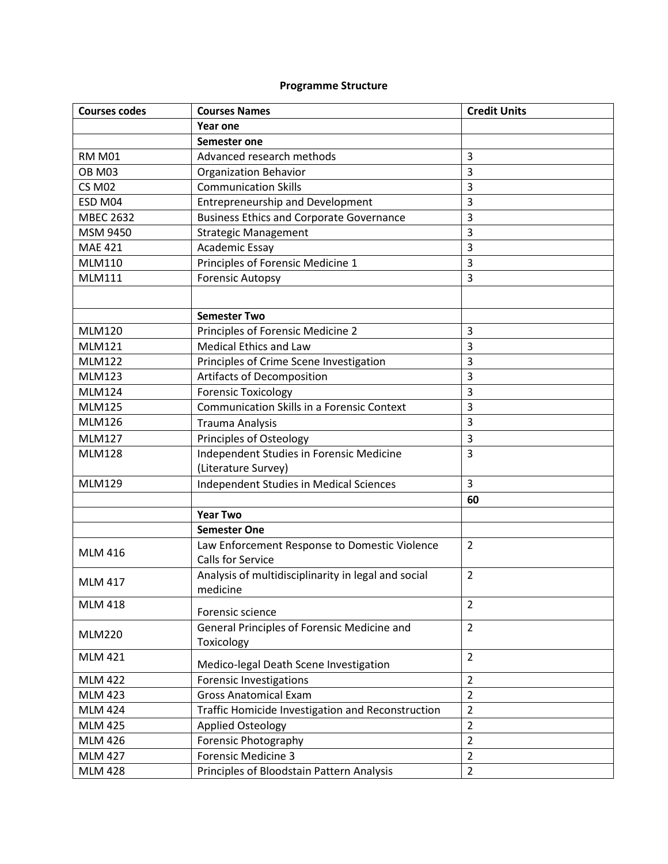# **Programme Structure**

| <b>Courses codes</b> | <b>Courses Names</b>                                                      | <b>Credit Units</b> |
|----------------------|---------------------------------------------------------------------------|---------------------|
|                      | Year one                                                                  |                     |
|                      | Semester one                                                              |                     |
| <b>RM M01</b>        | Advanced research methods                                                 | 3                   |
| <b>OB M03</b>        | <b>Organization Behavior</b>                                              | 3                   |
| <b>CS M02</b>        | <b>Communication Skills</b>                                               | 3                   |
| ESD M04              | <b>Entrepreneurship and Development</b>                                   | 3                   |
| <b>MBEC 2632</b>     | <b>Business Ethics and Corporate Governance</b>                           | 3                   |
| MSM 9450             | <b>Strategic Management</b>                                               | 3                   |
| <b>MAE 421</b>       | <b>Academic Essay</b>                                                     | 3                   |
| <b>MLM110</b>        | Principles of Forensic Medicine 1                                         | 3                   |
| <b>MLM111</b>        | <b>Forensic Autopsy</b>                                                   | 3                   |
|                      |                                                                           |                     |
|                      | <b>Semester Two</b>                                                       |                     |
| <b>MLM120</b>        | Principles of Forensic Medicine 2                                         | $\overline{3}$      |
| <b>MLM121</b>        | <b>Medical Ethics and Law</b>                                             | 3                   |
| <b>MLM122</b>        | Principles of Crime Scene Investigation                                   | 3                   |
| <b>MLM123</b>        | <b>Artifacts of Decomposition</b>                                         | 3                   |
| <b>MLM124</b>        | <b>Forensic Toxicology</b>                                                | 3                   |
| <b>MLM125</b>        | <b>Communication Skills in a Forensic Context</b>                         | 3                   |
| <b>MLM126</b>        | <b>Trauma Analysis</b>                                                    | 3                   |
| <b>MLM127</b>        | Principles of Osteology                                                   | 3                   |
| <b>MLM128</b>        | Independent Studies in Forensic Medicine                                  | 3                   |
|                      | (Literature Survey)                                                       |                     |
| <b>MLM129</b>        | Independent Studies in Medical Sciences                                   | 3                   |
|                      |                                                                           | 60                  |
|                      | <b>Year Two</b>                                                           |                     |
|                      | <b>Semester One</b>                                                       |                     |
| <b>MLM 416</b>       | Law Enforcement Response to Domestic Violence<br><b>Calls for Service</b> | $\overline{2}$      |
| <b>MLM 417</b>       | Analysis of multidisciplinarity in legal and social<br>medicine           | $\overline{2}$      |
| <b>MLM 418</b>       | Forensic science                                                          | $\overline{2}$      |
| <b>MLM220</b>        | General Principles of Forensic Medicine and<br>Toxicology                 | $\overline{2}$      |
| <b>MLM 421</b>       | Medico-legal Death Scene Investigation                                    | $\overline{2}$      |
| <b>MLM 422</b>       | <b>Forensic Investigations</b>                                            | $\overline{2}$      |
| <b>MLM 423</b>       | <b>Gross Anatomical Exam</b>                                              | $\overline{2}$      |
| <b>MLM 424</b>       | Traffic Homicide Investigation and Reconstruction                         | $\overline{2}$      |
| <b>MLM 425</b>       | <b>Applied Osteology</b>                                                  | $\overline{2}$      |
| <b>MLM 426</b>       | Forensic Photography                                                      | $\overline{2}$      |
| <b>MLM 427</b>       | <b>Forensic Medicine 3</b>                                                | $\overline{2}$      |
| <b>MLM 428</b>       | Principles of Bloodstain Pattern Analysis                                 | $\overline{2}$      |